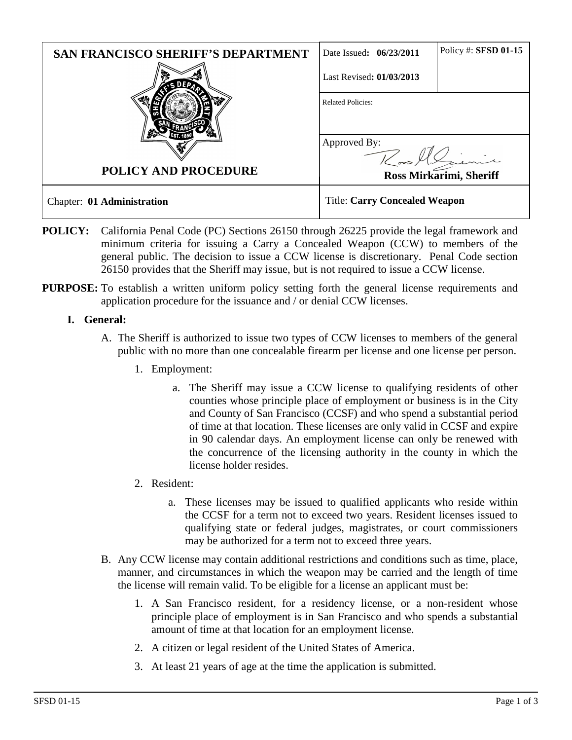| <b>SAN FRANCISCO SHERIFF'S DEPARTMENT</b> | Date Issued: 06/23/2011              | Policy #: SFSD 01-15 |
|-------------------------------------------|--------------------------------------|----------------------|
|                                           | Last Revised: 01/03/2013             |                      |
| <b>POLICY AND PROCEDURE</b>               | <b>Related Policies:</b>             |                      |
|                                           | Approved By:                         |                      |
|                                           | Ross Mirkarimi, Sheriff              |                      |
| Chapter: 01 Administration                | <b>Title: Carry Concealed Weapon</b> |                      |

- **POLICY:** California Penal Code (PC) Sections 26150 through 26225 provide the legal framework and minimum criteria for issuing a Carry a Concealed Weapon (CCW) to members of the general public. The decision to issue a CCW license is discretionary. Penal Code section 26150 provides that the Sheriff may issue, but is not required to issue a CCW license.
- **PURPOSE:** To establish a written uniform policy setting forth the general license requirements and application procedure for the issuance and / or denial CCW licenses.

## **I. General:**

- A. The Sheriff is authorized to issue two types of CCW licenses to members of the general public with no more than one concealable firearm per license and one license per person.
	- 1. Employment:
		- a. The Sheriff may issue a CCW license to qualifying residents of other counties whose principle place of employment or business is in the City and County of San Francisco (CCSF) and who spend a substantial period of time at that location. These licenses are only valid in CCSF and expire in 90 calendar days. An employment license can only be renewed with the concurrence of the licensing authority in the county in which the license holder resides.
	- 2. Resident:
		- a. These licenses may be issued to qualified applicants who reside within the CCSF for a term not to exceed two years. Resident licenses issued to qualifying state or federal judges, magistrates, or court commissioners may be authorized for a term not to exceed three years.
- B. Any CCW license may contain additional restrictions and conditions such as time, place, manner, and circumstances in which the weapon may be carried and the length of time the license will remain valid. To be eligible for a license an applicant must be:
	- 1. A San Francisco resident, for a residency license, or a non-resident whose principle place of employment is in San Francisco and who spends a substantial amount of time at that location for an employment license.
	- 2. A citizen or legal resident of the United States of America.
	- 3. At least 21 years of age at the time the application is submitted.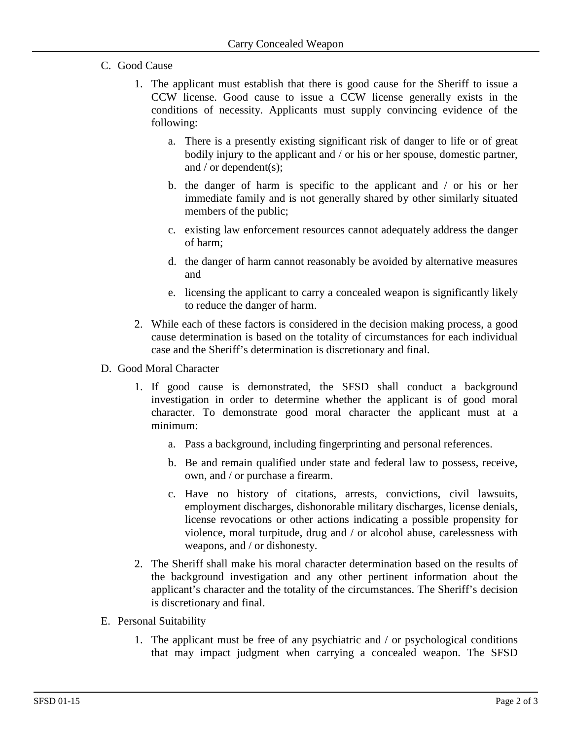- C. Good Cause
	- 1. The applicant must establish that there is good cause for the Sheriff to issue a CCW license. Good cause to issue a CCW license generally exists in the conditions of necessity. Applicants must supply convincing evidence of the following:
		- a. There is a presently existing significant risk of danger to life or of great bodily injury to the applicant and / or his or her spouse, domestic partner, and / or dependent(s);
		- b. the danger of harm is specific to the applicant and / or his or her immediate family and is not generally shared by other similarly situated members of the public;
		- c. existing law enforcement resources cannot adequately address the danger of harm;
		- d. the danger of harm cannot reasonably be avoided by alternative measures and
		- e. licensing the applicant to carry a concealed weapon is significantly likely to reduce the danger of harm.
	- 2. While each of these factors is considered in the decision making process, a good cause determination is based on the totality of circumstances for each individual case and the Sheriff's determination is discretionary and final.
- D. Good Moral Character
	- 1. If good cause is demonstrated, the SFSD shall conduct a background investigation in order to determine whether the applicant is of good moral character. To demonstrate good moral character the applicant must at a minimum:
		- a. Pass a background, including fingerprinting and personal references.
		- b. Be and remain qualified under state and federal law to possess, receive, own, and / or purchase a firearm.
		- c. Have no history of citations, arrests, convictions, civil lawsuits, employment discharges, dishonorable military discharges, license denials, license revocations or other actions indicating a possible propensity for violence, moral turpitude, drug and / or alcohol abuse, carelessness with weapons, and / or dishonesty.
	- 2. The Sheriff shall make his moral character determination based on the results of the background investigation and any other pertinent information about the applicant's character and the totality of the circumstances. The Sheriff's decision is discretionary and final.
- E. Personal Suitability
	- 1. The applicant must be free of any psychiatric and / or psychological conditions that may impact judgment when carrying a concealed weapon. The SFSD